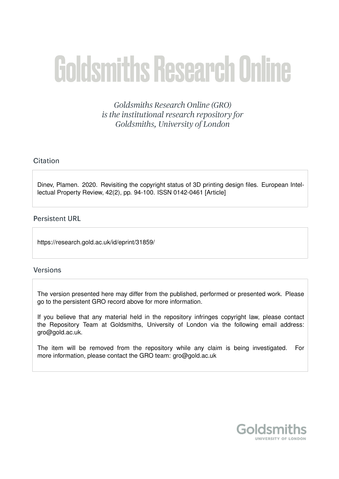# **Goldsmiths Research Online**

Goldsmiths Research Online (GRO) is the institutional research repository for Goldsmiths, University of London

# Citation

Dinev, Plamen. 2020. Revisiting the copyright status of 3D printing design files. European Intellectual Property Review, 42(2), pp. 94-100. ISSN 0142-0461 [Article]

# **Persistent URL**

https://research.gold.ac.uk/id/eprint/31859/

## **Versions**

The version presented here may differ from the published, performed or presented work. Please go to the persistent GRO record above for more information.

If you believe that any material held in the repository infringes copyright law, please contact the Repository Team at Goldsmiths, University of London via the following email address: gro@gold.ac.uk.

The item will be removed from the repository while any claim is being investigated. For more information, please contact the GRO team: gro@gold.ac.uk

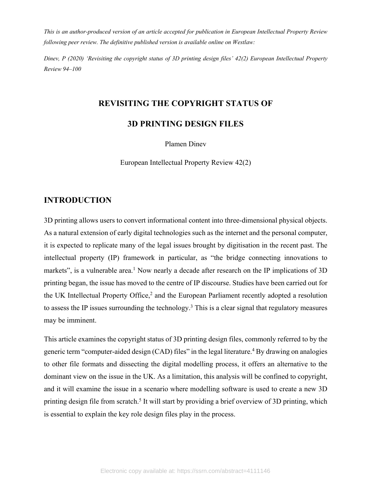*This is an author-produced version of an article accepted for publication in European Intellectual Property Review following peer review. The definitive published version is available online on Westlaw:*

*Dinev, P (2020) 'Revisiting the copyright status of 3D printing design files' 42(2) European Intellectual Property Review 94–100*

## **REVISITING THE COPYRIGHT STATUS OF**

# **3D PRINTING DESIGN FILES**

Plamen Dinev

European Intellectual Property Review 42(2)

# **INTRODUCTION**

3D printing allows users to convert informational content into three-dimensional physical objects. As a natural extension of early digital technologies such as the internet and the personal computer, it is expected to replicate many of the legal issues brought by digitisation in the recent past. The intellectual property (IP) framework in particular, as "the bridge connecting innovations to markets", is a vulnerable area.<sup>1</sup> Now nearly a decade after research on the IP implications of 3D printing began, the issue has moved to the centre of IP discourse. Studies have been carried out for the UK Intellectual Property Office,<sup>2</sup> and the European Parliament recently adopted a resolution to assess the IP issues surrounding the technology.<sup>3</sup> This is a clear signal that regulatory measures may be imminent.

This article examines the copyright status of 3D printing design files, commonly referred to by the generic term "computer-aided design (CAD) files" in the legal literature.<sup>4</sup> By drawing on analogies to other file formats and dissecting the digital modelling process, it offers an alternative to the dominant view on the issue in the UK. As a limitation, this analysis will be confined to copyright, and it will examine the issue in a scenario where modelling software is used to create a new 3D printing design file from scratch.<sup>5</sup> It will start by providing a brief overview of 3D printing, which is essential to explain the key role design files play in the process.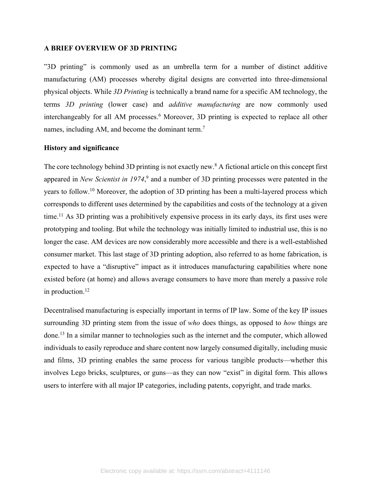#### **A BRIEF OVERVIEW OF 3D PRINTING**

"3D printing" is commonly used as an umbrella term for a number of distinct additive manufacturing (AM) processes whereby digital designs are converted into three-dimensional physical objects. While *3D Printing* is technically a brand name for a specific AM technology, the terms *3D printing* (lower case) and *additive manufacturing* are now commonly used interchangeably for all AM processes.<sup>6</sup> Moreover, 3D printing is expected to replace all other names, including AM, and become the dominant term.<sup>7</sup>

## **History and significance**

The core technology behind 3D printing is not exactly new.<sup>8</sup> A fictional article on this concept first appeared in *New Scientist in 1974*, <sup>9</sup> and a number of 3D printing processes were patented in the years to follow.10 Moreover, the adoption of 3D printing has been a multi-layered process which corresponds to different uses determined by the capabilities and costs of the technology at a given time.<sup>11</sup> As 3D printing was a prohibitively expensive process in its early days, its first uses were prototyping and tooling. But while the technology was initially limited to industrial use, this is no longer the case. AM devices are now considerably more accessible and there is a well-established consumer market. This last stage of 3D printing adoption, also referred to as home fabrication, is expected to have a "disruptive" impact as it introduces manufacturing capabilities where none existed before (at home) and allows average consumers to have more than merely a passive role in production.<sup>12</sup>

Decentralised manufacturing is especially important in terms of IP law. Some of the key IP issues surrounding 3D printing stem from the issue of *who* does things, as opposed to *how* things are done.13 In a similar manner to technologies such as the internet and the computer, which allowed individuals to easily reproduce and share content now largely consumed digitally, including music and films, 3D printing enables the same process for various tangible products—whether this involves Lego bricks, sculptures, or guns—as they can now "exist" in digital form. This allows users to interfere with all major IP categories, including patents, copyright, and trade marks.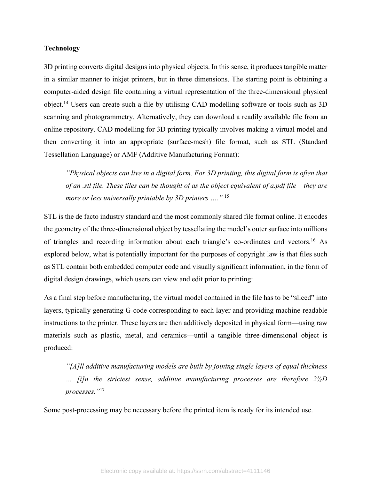#### **Technology**

3D printing converts digital designs into physical objects. In this sense, it produces tangible matter in a similar manner to inkjet printers, but in three dimensions. The starting point is obtaining a computer-aided design file containing a virtual representation of the three-dimensional physical object.14 Users can create such a file by utilising CAD modelling software or tools such as 3D scanning and photogrammetry. Alternatively, they can download a readily available file from an online repository. CAD modelling for 3D printing typically involves making a virtual model and then converting it into an appropriate (surface-mesh) file format, such as STL (Standard Tessellation Language) or AMF (Additive Manufacturing Format):

*"Physical objects can live in a digital form. For 3D printing, this digital form is often that of an .stl file. These files can be thought of as the object equivalent of a.pdf file – they are more or less universally printable by 3D printers …."* <sup>15</sup>

STL is the de facto industry standard and the most commonly shared file format online. It encodes the geometry of the three-dimensional object by tessellating the model's outer surface into millions of triangles and recording information about each triangle's co-ordinates and vectors.16 As explored below, what is potentially important for the purposes of copyright law is that files such as STL contain both embedded computer code and visually significant information, in the form of digital design drawings, which users can view and edit prior to printing:

As a final step before manufacturing, the virtual model contained in the file has to be "sliced" into layers, typically generating G-code corresponding to each layer and providing machine-readable instructions to the printer. These layers are then additively deposited in physical form—using raw materials such as plastic, metal, and ceramics—until a tangible three-dimensional object is produced:

*"[A]ll additive manufacturing models are built by joining single layers of equal thickness … [i]n the strictest sense, additive manufacturing processes are therefore 2½D processes."*<sup>17</sup>

Some post-processing may be necessary before the printed item is ready for its intended use.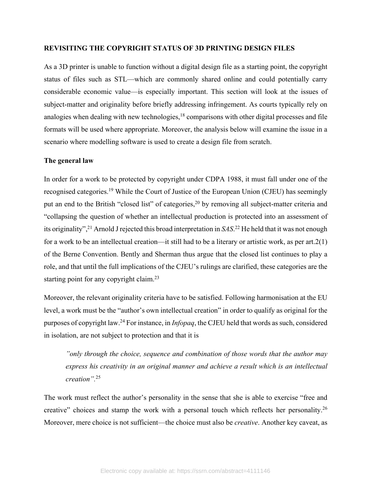#### **REVISITING THE COPYRIGHT STATUS OF 3D PRINTING DESIGN FILES**

As a 3D printer is unable to function without a digital design file as a starting point, the copyright status of files such as STL—which are commonly shared online and could potentially carry considerable economic value—is especially important. This section will look at the issues of subject-matter and originality before briefly addressing infringement. As courts typically rely on analogies when dealing with new technologies,<sup>18</sup> comparisons with other digital processes and file formats will be used where appropriate. Moreover, the analysis below will examine the issue in a scenario where modelling software is used to create a design file from scratch.

#### **The general law**

In order for a work to be protected by copyright under CDPA 1988, it must fall under one of the recognised categories.19 While the Court of Justice of the European Union (CJEU) has seemingly put an end to the British "closed list" of categories,<sup>20</sup> by removing all subject-matter criteria and "collapsing the question of whether an intellectual production is protected into an assessment of its originality",21 Arnold J rejected this broad interpretation in *SAS*. <sup>22</sup> He held that it was not enough for a work to be an intellectual creation—it still had to be a literary or artistic work, as per art.  $2(1)$ of the Berne Convention. Bently and Sherman thus argue that the closed list continues to play a role, and that until the full implications of the CJEU's rulings are clarified, these categories are the starting point for any copyright claim.<sup>23</sup>

Moreover, the relevant originality criteria have to be satisfied. Following harmonisation at the EU level, a work must be the "author's own intellectual creation" in order to qualify as original for the purposes of copyright law.24 For instance, in *Infopaq*, the CJEU held that words as such, considered in isolation, are not subject to protection and that it is

*"only through the choice, sequence and combination of those words that the author may express his creativity in an original manner and achieve a result which is an intellectual creation".*<sup>25</sup>

The work must reflect the author's personality in the sense that she is able to exercise "free and creative" choices and stamp the work with a personal touch which reflects her personality.26 Moreover, mere choice is not sufficient—the choice must also be *creative*. Another key caveat, as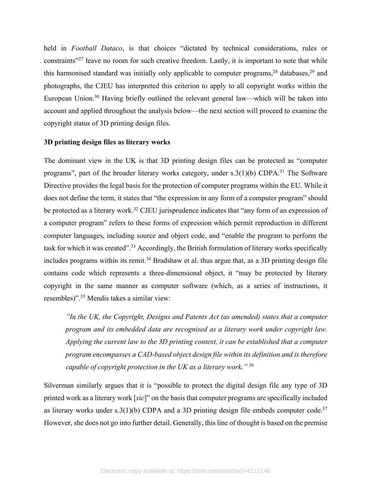held in *Football Dataco*, is that choices "dictated by technical considerations, rules or constraints"27 leave no room for such creative freedom. Lastly, it is important to note that while this harmonised standard was initially only applicable to computer programs,  $28$  databases,  $29$  and photographs, the CJEU has interpreted this criterion to apply to all copyright works within the European Union.<sup>30</sup> Having briefly outlined the relevant general law—which will be taken into account and applied throughout the analysis below—the next section will proceed to examine the copyright status of 3D printing design files.

#### **3D printing design files as literary works**

The dominant view in the UK is that 3D printing design files can be protected as "computer programs", part of the broader literary works category, under  $s.3(1)(b)$  CDPA.<sup>31</sup> The Software Directive provides the legal basis for the protection of computer programs within the EU. While it does not define the term, it states that "the expression in any form of a computer program" should be protected as a literary work.<sup>32</sup> CJEU jurisprudence indicates that "any form of an expression of a computer program" refers to these forms of expression which permit reproduction in different computer languages, including source and object code, and "enable the program to perform the task for which it was created".33 Accordingly, the British formulation of literary works specifically includes programs within its remit.<sup>34</sup> Bradshaw et al. thus argue that, as a 3D printing design file contains code which represents a three-dimensional object, it "may be protected by literary copyright in the same manner as computer software (which, as a series of instructions, it resembles)". <sup>35</sup> Mendis takes a similar view:

*"In the UK, the Copyright, Designs and Patents Act (as amended) states that a computer program and its embedded data are recognised as a literary work under copyright law. Applying the current law to the 3D printing context, it can be established that a computer program encompasses a CAD-based object design file within its definition and is therefore capable of copyright protection in the UK as a literary work."* <sup>36</sup>

Silverman similarly argues that it is "possible to protect the digital design file any type of 3D printed work as a literary work [*sic*]" on the basis that computer programs are specifically included as literary works under s.3(1)(b) CDPA and a 3D printing design file embeds computer code.<sup>37</sup> However, she does not go into further detail. Generally, this line of thought is based on the premise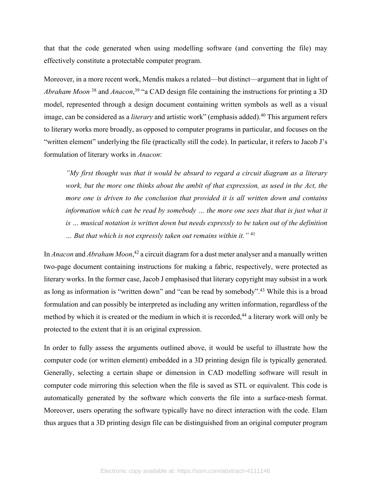that that the code generated when using modelling software (and converting the file) may effectively constitute a protectable computer program.

Moreover, in a more recent work, Mendis makes a related—but distinct—argument that in light of *Abraham Moon* <sup>38</sup> and *Anacon*, <sup>39</sup> "a CAD design file containing the instructions for printing a 3D model, represented through a design document containing written symbols as well as a visual image, can be considered as a *literary* and artistic work" (emphasis added).<sup>40</sup> This argument refers to literary works more broadly, as opposed to computer programs in particular, and focuses on the "written element" underlying the file (practically still the code). In particular, it refers to Jacob J's formulation of literary works in *Anacon*:

*"My first thought was that it would be absurd to regard a circuit diagram as a literary*  work, but the more one thinks about the ambit of that expression, as used in the Act, the *more one is driven to the conclusion that provided it is all written down and contains information which can be read by somebody ... the more one sees that that is just what it is … musical notation is written down but needs expressly to be taken out of the definition … But that which is not expressly taken out remains within it."* <sup>41</sup>

In *Anacon* and *Abraham Moon*, <sup>42</sup> a circuit diagram for a dust meter analyser and a manually written two-page document containing instructions for making a fabric, respectively, were protected as literary works. In the former case, Jacob J emphasised that literary copyright may subsist in a work as long as information is "written down" and "can be read by somebody".<sup>43</sup> While this is a broad formulation and can possibly be interpreted as including any written information, regardless of the method by which it is created or the medium in which it is recorded,<sup>44</sup> a literary work will only be protected to the extent that it is an original expression.

In order to fully assess the arguments outlined above, it would be useful to illustrate how the computer code (or written element) embedded in a 3D printing design file is typically generated. Generally, selecting a certain shape or dimension in CAD modelling software will result in computer code mirroring this selection when the file is saved as STL or equivalent. This code is automatically generated by the software which converts the file into a surface-mesh format. Moreover, users operating the software typically have no direct interaction with the code. Elam thus argues that a 3D printing design file can be distinguished from an original computer program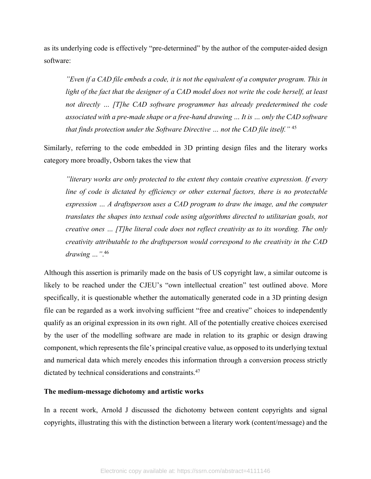as its underlying code is effectively "pre-determined" by the author of the computer-aided design software:

*"Even if a CAD file embeds a code, it is not the equivalent of a computer program. This in*  light of the fact that the designer of a CAD model does not write the code herself, at least *not directly … [T]he CAD software programmer has already predetermined the code associated with a pre-made shape or a free-hand drawing … It is … only the CAD software that finds protection under the Software Directive … not the CAD file itself."* <sup>45</sup>

Similarly, referring to the code embedded in 3D printing design files and the literary works category more broadly, Osborn takes the view that

*"literary works are only protected to the extent they contain creative expression. If every line of code is dictated by efficiency or other external factors, there is no protectable expression … A draftsperson uses a CAD program to draw the image, and the computer translates the shapes into textual code using algorithms directed to utilitarian goals, not creative ones … [T]he literal code does not reflect creativity as to its wording. The only creativity attributable to the draftsperson would correspond to the creativity in the CAD drawing …"*. 46

Although this assertion is primarily made on the basis of US copyright law, a similar outcome is likely to be reached under the CJEU's "own intellectual creation" test outlined above. More specifically, it is questionable whether the automatically generated code in a 3D printing design file can be regarded as a work involving sufficient "free and creative" choices to independently qualify as an original expression in its own right. All of the potentially creative choices exercised by the user of the modelling software are made in relation to its graphic or design drawing component, which represents the file's principal creative value, as opposed to its underlying textual and numerical data which merely encodes this information through a conversion process strictly dictated by technical considerations and constraints.<sup>47</sup>

#### **The medium-message dichotomy and artistic works**

In a recent work, Arnold J discussed the dichotomy between content copyrights and signal copyrights, illustrating this with the distinction between a literary work (content/message) and the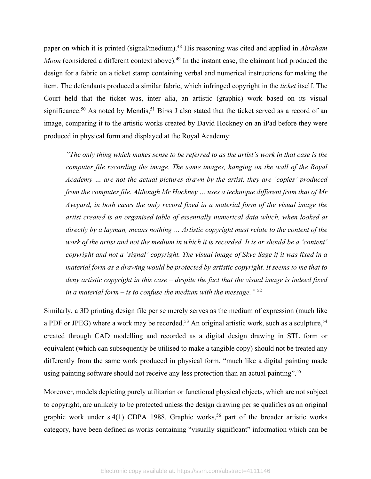paper on which it is printed (signal/medium).48 His reasoning was cited and applied in *Abraham Moon* (considered a different context above).<sup>49</sup> In the instant case, the claimant had produced the design for a fabric on a ticket stamp containing verbal and numerical instructions for making the item. The defendants produced a similar fabric, which infringed copyright in the *ticket* itself. The Court held that the ticket was, inter alia, an artistic (graphic) work based on its visual significance.<sup>50</sup> As noted by Mendis,<sup>51</sup> Birss J also stated that the ticket served as a record of an image, comparing it to the artistic works created by David Hockney on an iPad before they were produced in physical form and displayed at the Royal Academy:

*"The only thing which makes sense to be referred to as the artist's work in that case is the computer file recording the image. The same images, hanging on the wall of the Royal Academy … are not the actual pictures drawn by the artist, they are 'copies' produced from the computer file. Although Mr Hockney … uses a technique different from that of Mr Aveyard, in both cases the only record fixed in a material form of the visual image the artist created is an organised table of essentially numerical data which, when looked at directly by a layman, means nothing … Artistic copyright must relate to the content of the work of the artist and not the medium in which it is recorded. It is or should be a 'content' copyright and not a 'signal' copyright. The visual image of Skye Sage if it was fixed in a material form as a drawing would be protected by artistic copyright. It seems to me that to deny artistic copyright in this case – despite the fact that the visual image is indeed fixed in a material form – is to confuse the medium with the message."* <sup>52</sup>

Similarly, a 3D printing design file per se merely serves as the medium of expression (much like a PDF or JPEG) where a work may be recorded.<sup>53</sup> An original artistic work, such as a sculpture,<sup>54</sup> created through CAD modelling and recorded as a digital design drawing in STL form or equivalent (which can subsequently be utilised to make a tangible copy) should not be treated any differently from the same work produced in physical form, "much like a digital painting made using painting software should not receive any less protection than an actual painting".<sup>55</sup>

Moreover, models depicting purely utilitarian or functional physical objects, which are not subject to copyright, are unlikely to be protected unless the design drawing per se qualifies as an original graphic work under s.4(1) CDPA 1988. Graphic works,<sup>56</sup> part of the broader artistic works category, have been defined as works containing "visually significant" information which can be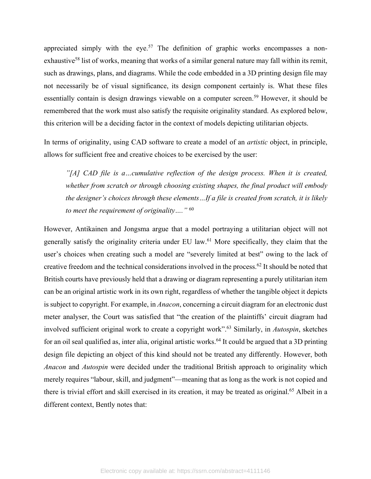appreciated simply with the eye.<sup>57</sup> The definition of graphic works encompasses a nonexhaustive<sup>58</sup> list of works, meaning that works of a similar general nature may fall within its remit, such as drawings, plans, and diagrams. While the code embedded in a 3D printing design file may not necessarily be of visual significance, its design component certainly is. What these files essentially contain is design drawings viewable on a computer screen.<sup>59</sup> However, it should be remembered that the work must also satisfy the requisite originality standard. As explored below, this criterion will be a deciding factor in the context of models depicting utilitarian objects.

In terms of originality, using CAD software to create a model of an *artistic* object, in principle, allows for sufficient free and creative choices to be exercised by the user:

*"[A] CAD file is a...cumulative reflection of the design process. When it is created, whether from scratch or through choosing existing shapes, the final product will embody the designer's choices through these elements…If a file is created from scratch, it is likely to meet the requirement of originality…."* <sup>60</sup>

However, Antikainen and Jongsma argue that a model portraying a utilitarian object will not generally satisfy the originality criteria under EU law.61 More specifically, they claim that the user's choices when creating such a model are "severely limited at best" owing to the lack of creative freedom and the technical considerations involved in the process.62 It should be noted that British courts have previously held that a drawing or diagram representing a purely utilitarian item can be an original artistic work in its own right, regardless of whether the tangible object it depicts is subject to copyright. For example, in *Anacon*, concerning a circuit diagram for an electronic dust meter analyser, the Court was satisfied that "the creation of the plaintiffs' circuit diagram had involved sufficient original work to create a copyright work".63 Similarly, in *Autospin*, sketches for an oil seal qualified as, inter alia, original artistic works.<sup>64</sup> It could be argued that a 3D printing design file depicting an object of this kind should not be treated any differently. However, both *Anacon* and *Autospin* were decided under the traditional British approach to originality which merely requires "labour, skill, and judgment"—meaning that as long as the work is not copied and there is trivial effort and skill exercised in its creation, it may be treated as original.<sup>65</sup> Albeit in a different context, Bently notes that: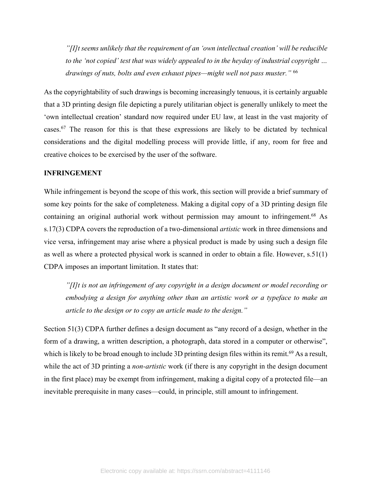*"[I]t seems unlikely that the requirement of an 'own intellectual creation' will be reducible to the 'not copied' test that was widely appealed to in the heyday of industrial copyright … drawings of nuts, bolts and even exhaust pipes—might well not pass muster."* <sup>66</sup>

As the copyrightability of such drawings is becoming increasingly tenuous, it is certainly arguable that a 3D printing design file depicting a purely utilitarian object is generally unlikely to meet the 'own intellectual creation' standard now required under EU law, at least in the vast majority of cases.67 The reason for this is that these expressions are likely to be dictated by technical considerations and the digital modelling process will provide little, if any, room for free and creative choices to be exercised by the user of the software.

#### **INFRINGEMENT**

While infringement is beyond the scope of this work, this section will provide a brief summary of some key points for the sake of completeness. Making a digital copy of a 3D printing design file containing an original authorial work without permission may amount to infringement.<sup>68</sup> As s.17(3) CDPA covers the reproduction of a two-dimensional *artistic* work in three dimensions and vice versa, infringement may arise where a physical product is made by using such a design file as well as where a protected physical work is scanned in order to obtain a file. However, s.51(1) CDPA imposes an important limitation. It states that:

*"[I]t is not an infringement of any copyright in a design document or model recording or embodying a design for anything other than an artistic work or a typeface to make an article to the design or to copy an article made to the design."*

Section 51(3) CDPA further defines a design document as "any record of a design, whether in the form of a drawing, a written description, a photograph, data stored in a computer or otherwise", which is likely to be broad enough to include 3D printing design files within its remit.<sup>69</sup> As a result, while the act of 3D printing a *non-artistic* work (if there is any copyright in the design document in the first place) may be exempt from infringement, making a digital copy of a protected file—an inevitable prerequisite in many cases—could, in principle, still amount to infringement.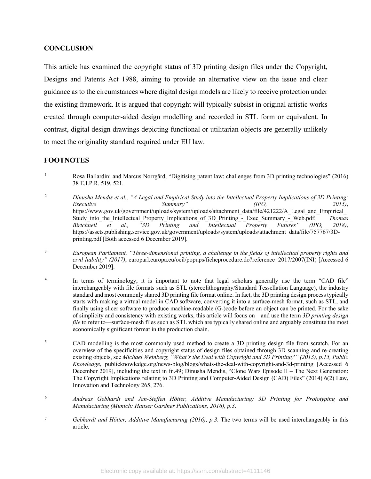## **CONCLUSION**

This article has examined the copyright status of 3D printing design files under the Copyright, Designs and Patents Act 1988, aiming to provide an alternative view on the issue and clear guidance as to the circumstances where digital design models are likely to receive protection under the existing framework. It is argued that copyright will typically subsist in original artistic works created through computer-aided design modelling and recorded in STL form or equivalent. In contrast, digital design drawings depicting functional or utilitarian objects are generally unlikely to meet the originality standard required under EU law.

## **FOOTNOTES**

- <sup>1</sup> Rosa Ballardini and Marcus Norrgård, "Digitising patent law: challenges from 3D printing technologies" (2016) 38 E.I.P.R. 519, 521.
- <sup>2</sup> *Dinusha Mendis et al., "A Legal and Empirical Study into the Intellectual Property Implications of 3D Printing: Executive Summary" (IPO, 2015)*, https://www.gov.uk/government/uploads/system/uploads/attachment\_data/file/421222/A\_Legal\_and\_Empirical\_ Study into the Intellectual Property Implications of 3D Printing - Exec Summary - Web.pdf; *Thomas Birtchnell et al., "3D Printing and Intellectual Property Futures" (IPO, 2018)*, https://assets.publishing.service.gov.uk/government/uploads/system/uploads/attachment\_data/file/757767/3Dprinting.pdf [Both accessed 6 December 2019].
- <sup>3</sup> *European Parliament, "Three-dimensional printing, a challenge in the fields of intellectual property rights and civil liability" (2017)*, europarl.europa.eu/oeil/popups/ficheprocedure.do?reference=2017/2007(INI) [Accessed 6 December 2019].
- <sup>4</sup> In terms of terminology, it is important to note that legal scholars generally use the term "CAD file" interchangeably with file formats such as STL (stereolithography/Standard Tessellation Language), the industry standard and most commonly shared 3D printing file format online. In fact, the 3D printing design process typically starts with making a virtual model in CAD software, converting it into a surface-mesh format, such as STL, and finally using slicer software to produce machine-readable (G-)code before an object can be printed. For the sake of simplicity and consistency with existing works, this article will focus on—and use the term *3D printing design file* to refer to—surface-mesh files such as STL which are typically shared online and arguably constitute the most economically significant format in the production chain.
- <sup>5</sup> CAD modelling is the most commonly used method to create a 3D printing design file from scratch. For an overview of the specificities and copyright status of design files obtained through 3D scanning and re-creating existing objects, see *Michael Weinberg, "What's the Deal with Copyright and 3D Printing?" (2013), p.15, Public Knowledge*, publicknowledge.org/news-blog/blogs/whats-the-deal-with-copyright-and-3d-printing [Accessed 6 December 2019], including the text in fn.49; Dinusha Mendis, "Clone Wars Episode II – The Next Generation: The Copyright Implications relating to 3D Printing and Computer-Aided Design (CAD) Files" (2014) 6(2) Law, Innovation and Technology 265, 276.
- <sup>6</sup> *Andreas Gebhardt and Jan-Steffen Hötter, Additive Manufacturing: 3D Printing for Prototyping and Manufacturing (Munich: Hanser Gardner Publications, 2016), p.3*.
- <sup>7</sup> *Gebhardt and Hötter, Additive Manufacturing (2016), p.3*. The two terms will be used interchangeably in this article.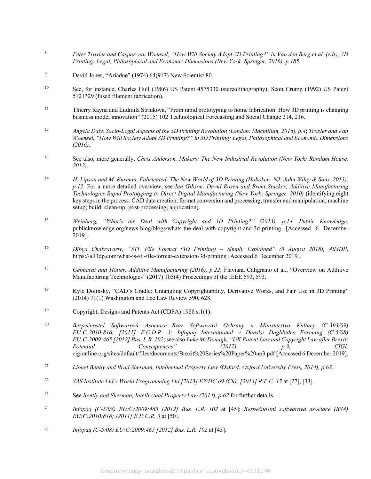- <sup>8</sup> *Peter Troxler and Caspar van Woensel, "How Will Society Adopt 3D Printing?" in Van den Berg et al. (eds), 3D Printing: Legal, Philosophical and Economic Dimensions (New York: Springer, 2016), p.185*.
- <sup>9</sup> David Jones, "Ariadne" (1974) 64(917) New Scientist 80.
- <sup>10</sup> See, for instance, Charles Hull (1986) US Patent 4575330 (stereolithography); Scott Crump (1992) US Patent 5121329 (fused filament fabrication).
- <sup>11</sup> Thierry Rayna and Ludmila Striukova, "From rapid prototyping to home fabrication: How 3D printing is changing business model innovation" (2015) 102 Technological Forecasting and Social Change 214, 216.
- <sup>12</sup> *Angela Daly, Socio-Legal Aspects of the 3D Printing Revolution (London: Macmillan, 2016), p.4*; *Troxler and Van Woensel, "How Will Society Adopt 3D Printing?" in 3D Printing: Legal, Philosophical and Economic Dimensions (2016)*.
- <sup>13</sup> See also, more generally, *Chris Anderson, Makers: The New Industrial Revolution (New York: Random House, 2012)*.

<sup>14</sup> *H. Lipson and M. Kurman, Fabricated: The New World of 3D Printing (Hoboken: NJ: John Wiley & Sons, 2013), p.12*. For a more detailed overview, see *Ian Gibson, David Rosen and Brent Stucker, Additive Manufacturing Technologies Rapid Prototyping to Direct Digital Manufacturing (New York: Springer, 2010)* (identifying eight key steps in the process: CAD data creation; format conversion and processing; transfer and manipulation; machine setup; build; clean-up; post-processing; application).

- <sup>15</sup> *Weinberg, "What's the Deal with Copyright and 3D Printing?" (2013), p.14, Public Knowledge*, publicknowledge.org/news-blog/blogs/whats-the-deal-with-copyright-and-3d-printing [Accessed 6 December 2019].
- <sup>16</sup> *Dibya Chakravorty, "STL File Format (3D Printing) – Simply Explained" (5 August 2018), All3DP*, https://all3dp.com/what-is-stl-file-format-extension-3d-printing [Accessed 6 December 2019].
- <sup>17</sup> *Gebhardt and Hötter, Additive Manufacturing (2016), p.22*; Flaviana Calignano et al., "Overview on Additive Manufacturing Technologies" (2017) 105(4) Proceedings of the IEEE 593, 593.
- <sup>18</sup> Kyle Dolinsky, "CAD's Cradle: Untangling Copyrightability, Derivative Works, and Fair Use in 3D Printing" (2014) 71(1) Washington and Lee Law Review 590, 628.
- <sup>19</sup> Copyright, Designs and Patents Act (CDPA) 1988 s.1(1).
- <sup>20</sup> *Bezpečnostní Softwarová Asociace—Svaz Softwarové Ochrany v Ministerstvo Kultury (C-393/09) EU:C:2010:816; [2011] E.C.D.R. 3*; *Infopaq International v Danske Dagblades Forening (C-5/08) EU:C:2009:465 [2012] Bus. L.R. 102*; see also *Luke McDonagh, "UK Patent Law and Copyright Law after Brexit: Potential Consequences" (2017), p.9, CIGI*, cigionline.org/sites/default/files/documents/Brexit%20Series%20Paper%20no3.pdf [Accessed 6 December 2019].
- <sup>21</sup> *Lionel Bently and Brad Sherman, Intellectual Property Law (Oxford: Oxford University Press, 2014), p.62*.
- <sup>22</sup> *SAS Institute Ltd v World Programming Ltd [2013] EWHC 69 (Ch); [2013] R.P.C. 17* at [27], [33].
- <sup>23</sup> See *Bently and Sherman, Intellectual Property Law (2014), p.62* for further details.
- <sup>24</sup> *Infopaq (C-5/08) EU:C:2009:465 [2012] Bus. L.R. 102* at [45]; *Bezpečnostní softwarová asociace (BSA) EU:C:2010:816; [2011] E.D.C.R. 3* at [50].
- <sup>25</sup> *Infopaq (C-5/08) EU:C:2009:465 [2012] Bus. L.R. 102* at [45].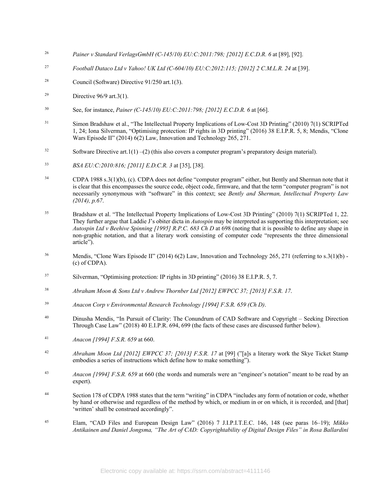- <sup>26</sup> *Painer v Standard VerlagsGmbH (C-145/10) EU:C:2011:798; [2012] E.C.D.R. 6* at [89], [92].
- <sup>27</sup> *Football Dataco Ltd v Yahoo! UK Ltd (C-604/10) EU:C:2012:115; [2012] 2 C.M.L.R. 24* at [39].
- <sup>28</sup> Council (Software) Directive 91/250 art.1(3).
- <sup>29</sup> Directive  $96/9$  art.  $3(1)$ .
- <sup>30</sup> See, for instance, *Painer (C-145/10) EU:C:2011:798; [2012] E.C.D.R. 6* at [66].
- <sup>31</sup> Simon Bradshaw et al., "The Intellectual Property Implications of Low-Cost 3D Printing" (2010) 7(1) SCRIPTed 1, 24; Iona Silverman, "Optimising protection: IP rights in 3D printing" (2016) 38 E.I.P.R. 5, 8; Mendis, "Clone Wars Episode II" (2014) 6(2) Law, Innovation and Technology 265, 271.
- $32$  Software Directive art. 1(1) –(2) (this also covers a computer program's preparatory design material).
- <sup>33</sup> *BSA EU:C:2010:816; [2011] E.D.C.R. 3* at [35], [38].
- <sup>34</sup> CDPA 1988 s.3(1)(b), (c). CDPA does not define "computer program" either, but Bently and Sherman note that it is clear that this encompasses the source code, object code, firmware, and that the term "computer program" is not necessarily synonymous with "software" in this context; see *Bently and Sherman, Intellectual Property Law (2014), p.67*.
- <sup>35</sup> Bradshaw et al. "The Intellectual Property Implications of Low-Cost 3D Printing" (2010) 7(1) SCRIPTed 1, 22. They further argue that Laddie J's obiter dicta in *Autospin* may be interpreted as supporting this interpretation; see *Autospin Ltd v Beehive Spinning [1995] R.P.C. 683 Ch D* at 698 (noting that it is possible to define any shape in non-graphic notation, and that a literary work consisting of computer code "represents the three dimensional article").
- <sup>36</sup> Mendis, "Clone Wars Episode II" (2014) 6(2) Law, Innovation and Technology 265, 271 (referring to s.3(1)(b) -(c) of CDPA).
- <sup>37</sup> Silverman, "Optimising protection: IP rights in 3D printing" (2016) 38 E.I.P.R. 5, 7.
- <sup>38</sup> *Abraham Moon & Sons Ltd v Andrew Thornber Ltd [2012] EWPCC 37; [2013] F.S.R. 17*.
- <sup>39</sup> *Anacon Corp v Environmental Research Technology [1994] F.S.R. 659 (Ch D)*.
- <sup>40</sup> Dinusha Mendis, "In Pursuit of Clarity: The Conundrum of CAD Software and Copyright Seeking Direction Through Case Law" (2018) 40 E.I.P.R. 694, 699 (the facts of these cases are discussed further below).
- <sup>41</sup> *Anacon [1994] F.S.R. 659* at 660.
- <sup>42</sup> *Abraham Moon Ltd [2012] EWPCC 37; [2013] F.S.R. 17* at [99] ("[a]s a literary work the Skye Ticket Stamp embodies a series of instructions which define how to make something").
- <sup>43</sup> *Anacon [1994] F.S.R. 659* at 660 (the words and numerals were an "engineer's notation" meant to be read by an expert).
- <sup>44</sup> Section 178 of CDPA 1988 states that the term "writing" in CDPA "includes any form of notation or code, whether by hand or otherwise and regardless of the method by which, or medium in or on which, it is recorded, and [that] 'written' shall be construed accordingly".
- <sup>45</sup> Elam, "CAD Files and European Design Law" (2016) 7 J.I.P.I.T.E.C. 146, 148 (see paras 16–19); *Mikko Antikainen and Daniel Jongsma, "The Art of CAD: Copyrightability of Digital Design Files" in Rosa Ballardini*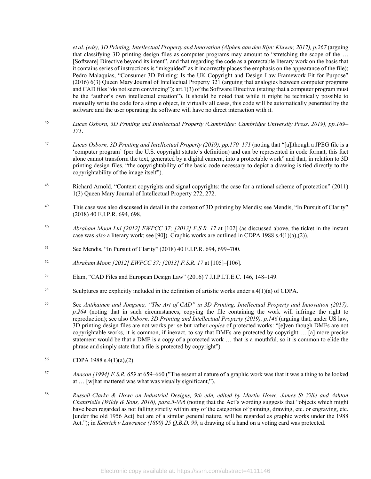*et al. (eds), 3D Printing, Intellectual Property and Innovation (Alphen aan den Rijn: Kluwer, 2017), p.267* (arguing that classifying 3D printing design files as computer programs may amount to "stretching the scope of the … [Software] Directive beyond its intent", and that regarding the code as a protectable literary work on the basis that it contains series of instructions is "misguided" as it incorrectly places the emphasis on the appearance of the file); Pedro Malaquias, "Consumer 3D Printing: Is the UK Copyright and Design Law Framework Fit for Purpose" (2016) 6(3) Queen Mary Journal of Intellectual Property 321 (arguing that analogies between computer programs and CAD files "do not seem convincing"); art.1(3) of the Software Directive (stating that a computer program must be the "author's own intellectual creation"). It should be noted that while it might be technically possible to manually write the code for a simple object, in virtually all cases, this code will be automatically generated by the software and the user operating the software will have no direct interaction with it.

- <sup>46</sup> *Lucas Osborn, 3D Printing and Intellectual Property (Cambridge: Cambridge University Press, 2019), pp.169– 171*.
- <sup>47</sup> *Lucas Osborn, 3D Printing and Intellectual Property (2019), pp.170–171* (noting that "[a]lthough a JPEG file is a 'computer program' (per the U.S. copyright statute's definition) and can be represented in code format, this fact alone cannot transform the text, generated by a digital camera, into a protectable work" and that, in relation to 3D printing design files, "the copyrightability of the basic code necessary to depict a drawing is tied directly to the copyrightability of the image itself").
- <sup>48</sup> Richard Arnold, "Content copyrights and signal copyrights: the case for a rational scheme of protection" (2011) 1(3) Queen Mary Journal of Intellectual Property 272, 272.
- <sup>49</sup> This case was also discussed in detail in the context of 3D printing by Mendis; see Mendis, "In Pursuit of Clarity" (2018) 40 E.I.P.R. 694, 698.
- <sup>50</sup> *Abraham Moon Ltd [2012] EWPCC 37; [2013] F.S.R. 17* at [102] (as discussed above, the ticket in the instant case was *also* a literary work; see [90]). Graphic works are outlined in CDPA 1988 s.4(1)(a),(2)).
- <sup>51</sup> See Mendis, "In Pursuit of Clarity" (2018) 40 E.I.P.R. 694, 699–700.
- <sup>52</sup> *Abraham Moon [2012] EWPCC 37; [2013] F.S.R. 17* at [105]–[106].
- <sup>53</sup> Elam, "CAD Files and European Design Law" (2016) 7 J.I.P.I.T.E.C. 146, 148–149.
- <sup>54</sup> Sculptures are explicitly included in the definition of artistic works under s.4(1)(a) of CDPA.
- <sup>55</sup> See *Antikainen and Jongsma, "The Art of CAD" in 3D Printing, Intellectual Property and Innovation (2017), p.264* (noting that in such circumstances, copying the file containing the work will infringe the right to reproduction); see also *Osborn, 3D Printing and Intellectual Property (2019), p.146* (arguing that, under US law, 3D printing design files are not works per se but rather *copies* of protected works: "[e]ven though DMFs are not copyrightable works, it is common, if inexact, to say that DMFs are protected by copyright … [a] more precise statement would be that a DMF is a copy of a protected work … that is a mouthful, so it is common to elide the phrase and simply state that a file is protected by copyright").
- $56$  CDPA 1988 s.4(1)(a),(2).
- <sup>57</sup> *Anacon [1994] F.S.R. 659* at 659–660 ("The essential nature of a graphic work was that it was a thing to be looked at … [w]hat mattered was what was visually significant,").
- <sup>58</sup> *Russell-Clarke & Howe on Industrial Designs, 9th edn, edited by Martin Howe, James St Ville and Ashton Chantrielle (Wildy & Sons, 2016), para.5-006* (noting that the Act's wording suggests that "objects which might have been regarded as not falling strictly within any of the categories of painting, drawing, etc. or engraving, etc. [under the old 1956 Act] but are of a similar general nature, will be regarded as graphic works under the 1988 Act."); in *Kenrick v Lawrence (1890) 25 Q.B.D. 99*, a drawing of a hand on a voting card was protected.